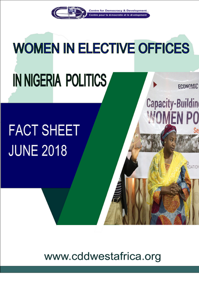

**Centre for Democracy & Development** e pour la dimocratie et le divelopment

**Capacity-Building** 

**WOMEN PO** 

DATION

# **WOMEN IN ELECTIVE OFFICES** IN NIGERIA POLITICS **ECONOMIC**

# **FACT SHEET JUNE 2018**

www.cddwestafrica.org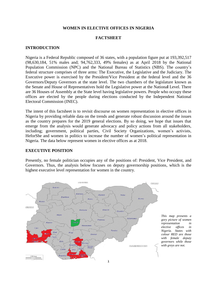# **WOMEN IN ELECTIVE OFFICES IN NIGERIA**

# **FACTSHEET**

# **INTRODUCTION**

Nigeria is a Federal Republic composed of 36 states, with a population figure put at 193,392,517 (98,630,184, 51% males and; 94,762,333, 49% females) as at April 2018 by the National Population Commission (NPC) and the National Bureau of Statistics (NBS). The country's federal structure comprises of three arms: The Executive, the Legislative and the Judiciary. The Executive power is exercised by the President/Vice President at the federal level and the 36 Governors/Deputy Governors at the state level. The two chambers of the legislature known as the Senate and House of Representatives hold the Legislative power at the Nationa**l** Level. There are 36 Houses of Assembly at the State level having legislative powers. People who occupy these offices are elected by the people during elections conducted by the Independent National Electoral Commission (INEC).

The intent of this factsheet is to revisit discourse on women representation in elective offices in Nigeria by providing reliable data on the trends and generate robust discussion around the issues as the country prepares for the 2019 general elections. By so doing, we hope that issues that emerge from the analysis would generate advocacy and policy actions from all stakeholders, including; government, political parties, Civil Society Organizations, women's activists, HeforShe and women in politics to increase the number of women's political representation in Nigeria. The data below represent women in elective offices as at 2018.

# **EXECUTIVE POSITION**

Presently, no female politician occupies any of the positions of: President, Vice President, and Governors. Thus, the analysis below focuses on deputy governorship positions, which is the highest executive level representation for women in the country.

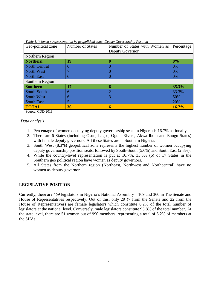| Geo-political zone | Tuber 1. Homen's representation by geopointeal cone. Deputy Governorship I ostiton<br>Number of States | Number of States with Women as | Percentage |  |  |
|--------------------|--------------------------------------------------------------------------------------------------------|--------------------------------|------------|--|--|
|                    |                                                                                                        | Deputy Governor                |            |  |  |
| Northern Region    |                                                                                                        |                                |            |  |  |
| <b>Northern</b>    | 19                                                                                                     | 0                              | $0\%$      |  |  |
| North Central      | 6                                                                                                      |                                | 0%         |  |  |
| North West         |                                                                                                        |                                | 0%         |  |  |
| North East         | 6                                                                                                      |                                | 0%         |  |  |
| Southern Region    |                                                                                                        |                                |            |  |  |
| <b>Southern</b>    | 17                                                                                                     | 6                              | 35.3%      |  |  |
| South-South        | 6                                                                                                      | $\overline{2}$                 | 33.3%      |  |  |
| South West         | 6                                                                                                      | 3                              | 50%        |  |  |
| South East         |                                                                                                        |                                | 20%        |  |  |
| <b>TOTAL</b>       | 36                                                                                                     | 6                              | 16.7%      |  |  |

*Table 1: Women's representation by geopolitical zone: Deputy Governorship Position*

Source: CDD 2018

## *Data analysis*

- 1. Percentage of women occupying deputy governorship seats in Nigeria is 16.7% nationally.
- 2. There are 6 States (including Osun, Lagos, Ogun, Rivers, Akwa Ibom and Enugu States) with female deputy governors. All these States are in Southern Nigeria.
- 3. South West (8.3%) geopolitical zone represents the highest number of women occupying deputy governorship position seats, followed by South-South (5.6%) and South East (2.8%).
- 4. While the country-level representation is put at 16.7%, 35.3% (6) of 17 States in the Southern geo political region have women as deputy governors.
- 5. All States from the Northern region (Northeast, Northwest and Northcentral) have no women as deputy governor.

# **LEGISLATIVE POSITION**

Currently, there are 469 legislators in Nigeria's National Assembly – 109 and 360 in The Senate and House of Representatives respectively. Out of this, only 29 (7 from the Senate and 22 from the House of Representatives) are female legislators which constitute 6.2% of the total number of legislators at the national level. Conversely, male legislators constitute 93.8% of the total number. At the state level, there are 51 women out of 990 members, representing a total of 5.2% of members at the SHAs.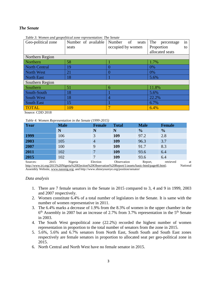# *The Senate*

| Geo-political zone | Number of available | Number<br>of<br>seats | The<br>percentage<br>in |  |  |
|--------------------|---------------------|-----------------------|-------------------------|--|--|
|                    | seats               | occupied by women     | Proportion<br>to        |  |  |
|                    |                     |                       | allocated seats         |  |  |
| Northern Region    |                     |                       |                         |  |  |
| Northern           | 58                  |                       | 1.7%                    |  |  |
| North Central      | 19                  | O                     | 0%                      |  |  |
| North West         | 21                  | 0                     | 0%                      |  |  |
| North East         | 18                  |                       | 5.6%                    |  |  |
| Southern Region    |                     |                       |                         |  |  |
| Southern           | 51                  | 6                     | 11.8%                   |  |  |
| South-South        | 18                  |                       | 5.6%                    |  |  |
| <b>South West</b>  | 18                  | 4                     | 22.2%                   |  |  |
| <b>South East</b>  | 15                  |                       | 6.7%                    |  |  |
| <b>TOTAL</b>       | 109                 |                       | 6.4%                    |  |  |

*Table 3: Women and geopolitical zone representation: The Senate*

Source: CDD 2018

*Table 4: Women Representation in the Senate (1999-2015)*

| Year             | <b>Male</b>                                                                                                     | <b>Female</b> | <b>Total</b> | <b>Male</b>   | <b>Female</b> |                |
|------------------|-----------------------------------------------------------------------------------------------------------------|---------------|--------------|---------------|---------------|----------------|
|                  | N                                                                                                               | N             | N            | $\frac{1}{2}$ | $\frac{0}{0}$ |                |
| 1999             | 106                                                                                                             | 3             | 109          | 97.2          | 2.8           |                |
| 2003             | 105                                                                                                             | 4             | 109          | 96.3          | 3.7           |                |
| 2007             | 100                                                                                                             |               | 109          | 91.7          | 8.3           |                |
| 2011             | 102                                                                                                             |               | 109          | 93.6          | 6.4           |                |
| 2015             | 102                                                                                                             |               | 109          | 93.6          | 6.4           |                |
| Sources:<br>2015 | Nigeria<br>http://www.iri.org/2015%20Nigeria%20Election%20Observation%20Report/1/assets/basic-html/page40.html; | Election      | Observation  | Report,       | retrieved     | at<br>National |

Assembly Website, [www.nassnig.org;](http://www.nassnig.org/) and http://www.shineyoureye.org/position/senator/

# *Data analysis*

- 1. There are 7 female senators in the Senate in 2015 compared to 3, 4 and 9 in 1999, 2003 and 2007 respectively.
- 2. Women constitute 6.4% of a total number of legislators in the Senate. It is same with the number of women representative in 2011.
- 3. The 6.4% marks a decrease of 1.9% from the 8.3% of women in the upper chamber in the 6<sup>th</sup> Assembly in 2007 but an increase of 2.7% from 3.7% representation in the 5<sup>th</sup> Senate in 2003.
- 4. The South West geopolitical zone (22.2%) recorded the highest number of women representation in proportion to the total number of senators from the zone in 2015.
- 5. 5.6%, 5.6% and 6.7% senators from North East, South South and South East zones respectively are female senators in proportion to allocated seat per geo-political zone in 2015.
- 6. North Central and North West have no female senator in 2015.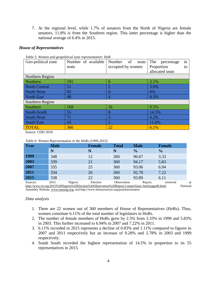7. At the regional level, while 1.7% of senators from the North of Nigeria are female senators, 11.8% is from the Southern region. This latter percentage is higher than the national average of 6.4% in 2015.

# *House of Representatives*

| Geo-political zone   | Number of available | Number<br>of<br>seats | The<br>percentage<br>in |  |  |  |
|----------------------|---------------------|-----------------------|-------------------------|--|--|--|
|                      | seats               | occupied by women     | Proportion<br>to        |  |  |  |
|                      |                     |                       | allocated seats         |  |  |  |
| Northern Region      |                     |                       |                         |  |  |  |
| Northern             | 191                 | 6                     | 3.1%                    |  |  |  |
| <b>North Central</b> | 51                  | $\overline{2}$        | 3.9%                    |  |  |  |
| <b>North West</b>    | 92                  | $\Omega$              | 0%                      |  |  |  |
| <b>North East</b>    | 48                  | $\overline{A}$        | 8.3%                    |  |  |  |
| Southern Region      |                     |                       |                         |  |  |  |
| Southern             | 169                 | 16                    | 9.5%                    |  |  |  |
| South-South          | 55                  | 8                     | 14.5%                   |  |  |  |
| <b>South West</b>    | 71                  | 3                     | 4.2%                    |  |  |  |
| <b>South East</b>    | 43                  | 5                     | 11.6%                   |  |  |  |
| <b>TOTAL</b>         | 360                 | 22                    | 6.1%                    |  |  |  |

*Table 5: Women and geopolitical zone representation: HoR*

Source: CDD 2018

|  |  |  | Table 6: Women Representation in the HoRs (1999-2015) |
|--|--|--|-------------------------------------------------------|
|--|--|--|-------------------------------------------------------|

| Year     | <b>Male</b> |         | <b>Female</b> | <b>Total</b>                                                                                         | <b>Male</b>   | <b>Female</b> |          |
|----------|-------------|---------|---------------|------------------------------------------------------------------------------------------------------|---------------|---------------|----------|
|          | N           |         | N             | N                                                                                                    | $\frac{1}{2}$ | $\frac{1}{2}$ |          |
| 1999     | 348         |         | 12            | 360                                                                                                  | 96.67         | 3.33          |          |
| 2003     | 339         |         | 21            | 360                                                                                                  | 94.17         | 5.83          |          |
| 2007     | 335         |         | 25            | 360                                                                                                  | 93.06         | 6.94          |          |
| 2011     | 334         |         | 26            | 360                                                                                                  | 92.78         | 7.22          |          |
| 2015     | 338         |         | 22            | 360                                                                                                  | 93.89         | 6.11          |          |
| Sources: | 2015        | Nigeria | Election      | Observation                                                                                          | Report,       | retrieved     |          |
|          |             |         |               | http://www.iri.org/2015%20Nigeria%20Election%20Observation%20Report/1/assets/basic-html/page40.html; |               |               | National |

Assembly Website, [www.nassnig.org;](http://www.nassnig.org/) and http://www.shineyoureye.org/position/senator/

# *Data analysis*

- 1. There are 22 women out of 360 members of House of Representatives (HoRs). Thus, women constitute 6.11% of the total number of legislators in HoRs.
- 2. The number of female members of HoRs grew by 2.5% from 3.33% in 1999 and 5.83% in 2003. This further increased to 6.94% in 2007 and 7.22% in 2011.
- 3. 6.11% recorded in 2015 represents a decline of 0.83% and 1.11% compared to figures in 2007 and 2011 respectively but an increase of 0.28% and 2.78% in 2003 and 1999 respectively.
- 4. South South recorded the highest representation of 14.5% in proportion to its 55 representatives in 2015.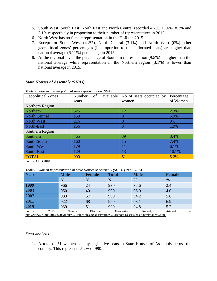- 5. South West, South East, North East and North Central recorded 4.2%, 11.6%, 8.3% and 3.1% respectively in proportion to their number of representatives in 2015.
- 6. North West has no female representation in the HoRs in 2015.
- 7. Except for South West (4.2%), North Central (3.1%) and North West (0%) other geopolitical zones' percentages (in proportion to their allocated seats) are higher than national average (6.11%) percentage in 2015.
- 8. At the regional level, the percentage of Southern representation (9.5%) is higher than the national average while representation in the Northern region (3.1%) is lower than national average in 2015.

| Table 7: Women and geopolitical zone representation: SHAs |              |           |                         |            |  |  |
|-----------------------------------------------------------|--------------|-----------|-------------------------|------------|--|--|
| <b>Geopolitical Zones</b>                                 | Number<br>of | available | No of seats occupied by | Percentage |  |  |
|                                                           | seats        |           | women                   | of Women   |  |  |
| Northern Region                                           |              |           |                         |            |  |  |
| <b>Northern</b>                                           | 525          |           | 12                      | 2.3%       |  |  |
| <b>North Central</b>                                      | 153          |           | 9                       | 5.9%       |  |  |
| North West                                                | 216          |           | $\Omega$                | 0%         |  |  |
| North-East                                                | 156          |           | 3                       | 1.9%       |  |  |
| Southern Region                                           |              |           |                         |            |  |  |
| Southern                                                  | 465          |           | 39                      | 8.4%       |  |  |
| South-South                                               | 160          |           | 15                      | 7.4%       |  |  |
| South-West                                                | 179          |           | 11                      | 6.1%       |  |  |
| South-East                                                | 129          |           | 13                      | 10.1%      |  |  |
| <b>TOTAL</b>                                              | 990          |           | 51                      | 5.2%       |  |  |

## *State Houses of Assembly (SHAs)*

*Table 7: Women and geopolitical zone representation: SHAs*

Source: CDD 2018

*Table 8: Women Representation in State Houses of Assembly (SHAs) (1999-2015)*

| Year                                                                                                                   | <b>Male</b> | <b>Female</b> | <b>Total</b> | <b>Male</b>   | <b>Female</b>   |
|------------------------------------------------------------------------------------------------------------------------|-------------|---------------|--------------|---------------|-----------------|
|                                                                                                                        | N           | N             | N            | $\frac{0}{0}$ | $\frac{1}{2}$   |
| 1999                                                                                                                   | 966         | 24            | 990          | 97.6          | 2.4             |
| 2003                                                                                                                   | 950         | 40            | 990          | 96.0          | 4.0             |
| 2007                                                                                                                   | 933         | 57            | 990          | 94.2          | 5.8             |
| 2011                                                                                                                   | 922         | 68            | 990          | 93.1          | 6.9             |
| 2015                                                                                                                   | 939         | 51            | 990          | 94.8          | 5.2             |
| 2015<br>Source:<br>http://www.iri.org/2015%20Nigeria%20Election%20Observation%20Report/1/assets/basic-html/page40.html | Nigeria     | Election      | Observation  | Report,       | retrieved<br>at |

#### *Data analysis*

1. A total of 51 women occupy legislative seats in State Houses of Assembly across the country. This represents 5.2% of 990.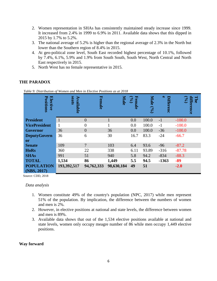- 2. Women representation in SHAs has consistently maintained steady increase since 1999. It increased from 2.4% in 1999 to 6.9% in 2011. Available data shows that this dipped in 2015 by 1.7% to 5.2%.
- 3. The national average of 5.2% is higher than the regional average of 2.3% in the North but lower than the Southern region of 8.4% in 2015.
- 4. At geo-political zone level, South East recorded highest percentage of 10.1%, followed by 7.4%, 6.1%, 5.9% and 1.9% from South South, South West, North Central and North East respectively in 2015.
- 5. North West has no female representative in 2015.

#### **Male e Position Position Elective s eats** Available **Available Female (%) Male (%)** Differenc **Differenc difference The Female (%) iifference President** 1 0 1 0.0 100.0 -1 -100.0 **VicePresident** 1 0 1 0.0 100.0 -1 -100.0 **Governor** 36 0 36 0.0 100.0 -36 -100.0 **DeputyGovern** 36 6 30 16.7 83.3 -24 -66.7 **or Senate** 109 7 103 6.4 93.6 -96 -87.2 **HoRs** 360 22 338 6.11 93.89 -316 -87.78 **SHAs** 991 51 940 5.8 94.2 -834 -88.3 **TOTAL 1,534 86 1,449 5.5 94.5 -1363 -89 193,392,517 94,762,333 98,630,184 49 51 -2.0 POPULATION (NBS, 2017)**

# **THE PARADOX**

 *Table 9: Distribution of Women and Men in Elective Positions as at 2018*

Source: CDD, 2018

# *Data analysis*

- 1. Women constitute 49% of the country's population (NPC, 2017) while men represent 51% of the population. By implication, the difference between the numbers of women and men is 2%.
- 2. However, in elective positions at national and state levels, the difference between women and men is 89%.
- 3. Available data shows that out of the 1,534 elective positions available at national and state levels, women only occupy meagre number of 86 while men occupy 1,449 elective positions.

# **Way forward**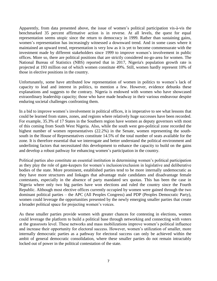Apparently, from data presented above, the issue of women's political participation vis-à-vis the benchmarked 35 percent affirmative action is in reverse. At all levels, the quest for equal representation seems utopic since the return to democracy in 1999. Rather than sustaining gains, women's representation has increasingly witnessed a downward trend. And in some cases where it maintained an upward trend, representation is very low as it is yet to become commensurate with the investment made by different stakeholders since 1999 to improve women's involvement in public offices. More so, there are political positions that are strictly considered no-go-area for women. The National Bureau of Statistics (NBS) reported that in 2017, Nigeria's population growth rate is projected at 193 million out of which women constitute 49%. Still, women hardly represent 10% of those in elective positions in the country.

Unfortunately, some have attributed low representation of women in politics to women's lack of capacity to lead and interest in politics, to mention a few. However, evidence debunks these explanations and suggests to the contrary. Nigeria is endowed with women who have showcased extraordinary leadership capacity; those who have made headway in their various endeavour despite enduring societal challenges confronting them.

In a bid to improve women's involvement in political offices, it is imperative to see what lessons that could be learned from states, zones, and regions where relatively huge successes have been recorded. For example, 35.3% of 17 States in the Southern region have women as deputy governors with most of this coming from South West Nigeria. Also, while the south west geo-political zone recorded the highest number of women representatives (22.2%) in the Senate, women representing the southsouth in the House of Representatives constitute 14.5% of the total number of seats available for the zone. It is therefore essential that we interrogate and better understand the political environment and underlining factors that necessitated this development to enhance the capacity to build on the gains and develop a robust pathway for enhancing women's participation in the country.

Political parties also constitute an essential institution in determining women's political participation as they play the role of gate-keepers for women's inclusion/exclusion in legislative and deliberative bodies of the state. More prominent, established parties tend to be more internally undemocratic as they have more structures and linkages that advantage male candidates and disadvantage female contestants, especially in the absence of party mandated sex quotas. This has been the case in Nigeria where only two big parties have won elections and ruled the country since the Fourth Republic. Although most elective offices currently occupied by women were gained through the two dominant political parties – the APC (All Peoples Congress) and PDP (Peoples Democratic Party), women could leverage the opportunities presented by the newly emerging smaller parties that create a broader political space for projecting women's voices.

As these smaller parties provide women with greater chances for contesting in elections, women could leverage the platform to build a political base through networking and connecting with voters at the grassroots level. These networks and mass mobilizations improve women's political influence and increase their opportunity for electoral success. However, women's utilization of smaller, more internally democratic parties as a pathway for electoral success can only be achieved within the ambit of general democratic consolidation, where these smaller parties do not remain intractably locked out of power in the political contestation of the state.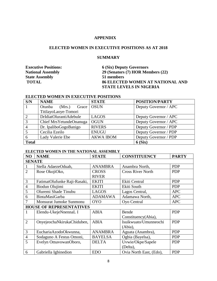# **APPENDIX**

# **ELECTED WOMEN IN EXECUTIVE POSITIONS AS AT 2018**

### **SUMMARY**

**State Assembly 51 members**

**Executive Positions: 6 (Six) Deputy Governors National Assembly 29 (Senators (7) HOR Members (22) TOTAL 86 ELECTED WOMEN AT NATIONAL AND STATE LEVELS IN NIGERIA**

### **ELECTED WOMEN IN EXECUTIVE POSITIONS**

| S/N            | <b>NAME</b>               | <b>STATE</b>     | <b>POSITION/PARTY</b> |
|----------------|---------------------------|------------------|-----------------------|
| $\vert$ 1      | Otunba<br>(Mrs.)<br>Grace | <b>OSUN</b>      | Deputy Governor / APC |
|                | TitilayoLaoye-Tomori      |                  |                       |
| 2              | DrIdiatOlurantiAdebule    | <b>LAGOS</b>     | Deputy Governor / APC |
| $\overline{3}$ | Chief Mrs Yetunde Onanuga | <b>OGUN</b>      | Deputy Governor / APC |
| $\overline{4}$ | Dr. IpaliboGogoBanigo     | <b>RIVERS</b>    | Deputy Governor / PDP |
|                | Cecilia Ezeilo            | <b>ENUGU</b>     | Deputy Governor / PDP |
| 6              | Lady Valerie Ebe          | <b>AKWA IBOM</b> | Deputy Governor / PDP |
| <b>Total</b>   |                           |                  | 6(Six)                |

#### **ELECTED WOMEN IN THE NATIONAL ASSEMBLY**

| NO             | <b>NAME</b>                     | <b>STATE</b>   | <b>CONSTITUENCY</b>      | <b>PARTY</b> |  |  |  |
|----------------|---------------------------------|----------------|--------------------------|--------------|--|--|--|
|                | <b>SENATE</b>                   |                |                          |              |  |  |  |
|                | Stella AdaezeOduah,             | <b>ANAMBRA</b> | Anambra North,           | <b>PDP</b>   |  |  |  |
| $\overline{2}$ | Rose OkojiOko,                  | <b>CROSS</b>   | <b>Cross River North</b> | <b>PDP</b>   |  |  |  |
|                |                                 | <b>RIVER</b>   |                          |              |  |  |  |
| 3              | FatimatOlufunke Raji-Rasaki,    | <b>EKITI</b>   | Ekiti Central            | <b>PDP</b>   |  |  |  |
| $\overline{4}$ | Biodun Olujimi                  | <b>EKITI</b>   | Ekiti South              | <b>PDP</b>   |  |  |  |
| 5              | Oluremi Shade Tinubu            | <b>LAGOS</b>   | Lagos Central,           | <b>APC</b>   |  |  |  |
| 6              | <b>BintaMasiGarba</b>           | <b>ADAMAWA</b> | Adamawa North,           | <b>APC</b>   |  |  |  |
|                | Monsurat Jumoke Sunmonu         | <b>OYO</b>     | Oyo Central              | <b>APC</b>   |  |  |  |
|                | <b>HOUSE OF REPRESENTATIVES</b> |                |                          |              |  |  |  |
|                | Elendu-UkejeNnennaL I           | <b>ABIA</b>    | Bende                    | <b>PDP</b>   |  |  |  |
|                |                                 |                | Constituency(Abia),      |              |  |  |  |
| $\overline{2}$ | OnyejeochaNkirukaChiduben,      | <b>ABIA</b>    | Isuikwuato/Umunneochi    | <b>PDP</b>   |  |  |  |
|                |                                 |                | (Abia),                  |              |  |  |  |
| 3              | EuchariaAzodoOkwunna,           | <b>ANAMBRA</b> | Aguata (Anambra),        | <b>PDP</b>   |  |  |  |
| $\overline{4}$ | Sodaguno A Festus Omoni,        | <b>BAYELSA</b> | Ogbia (Bayelsa),         | <b>PDP</b>   |  |  |  |
| 5              | Evelyn OmavowanOboro,           | <b>DELTA</b>   | Uvwie/Okpe/Sapele        | <b>PDP</b>   |  |  |  |
|                |                                 |                | (Delta),                 |              |  |  |  |
| 6              | Gabriella Igbinedion            | <b>EDO</b>     | Ovia North East, (Edo),  | <b>PDP</b>   |  |  |  |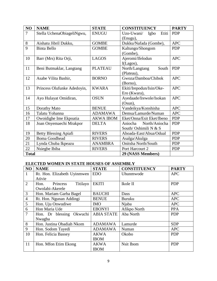| NO             | <b>NAME</b>                  | <b>STATE</b>     | <b>CONSTITUENCY</b>         | <b>PARTY</b> |
|----------------|------------------------------|------------------|-----------------------------|--------------|
| $\overline{7}$ | Stella UchenaObiageliNgwu,   | <b>ENUGU</b>     | Etiti<br>Uzo-Uwani/<br>Igbo | <b>PDP</b>   |
|                |                              |                  | (Enugu),                    |              |
| $8\,$          | Aishatu Jibril Dukku,        | <b>GOMBE</b>     | Dukku/Nafada (Gombe),       | <b>APC</b>   |
| 9              | <b>Binta Bello</b>           | <b>GOMBE</b>     | Kaltungo/Shongom            | <b>PDP</b>   |
|                |                              |                  | (Gombe),                    |              |
| 10             | Barr (Mrs) Rita Orji,        | <b>LAGOS</b>     | Ajeromi/Ifelodun            | <b>APC</b>   |
|                |                              |                  | $I(Lagos)$ ,                |              |
| 11             | Beni Butmaklar, Langtang     | <b>PLATEAU</b>   | South<br>North/Langtang     | <b>PDP</b>   |
|                |                              |                  | (Plateau),                  |              |
| 12             | Asabe Vilita Bashir,         | <b>BORNO</b>     | Gwoza/Damboa/Chibok         | <b>APC</b>   |
|                |                              |                  | (Borno),                    |              |
| 13             | Princess Olufunke Adedoyin,  | <b>KWARA</b>     | Ekiti/Irepodun/Isin/Oke-    | <b>APC</b>   |
|                |                              |                  | Ero (Kwara),                |              |
| 14             | Ayo Hulayat Omidiran,        | <b>OSUN</b>      | Ayedaade/Irewole/Isokan     | <b>APC</b>   |
|                |                              |                  | $(Osun)$ ,                  |              |
| 15             | Dorathy Mato                 | <b>BENUE</b>     | Vandeikya/Konshisha         | <b>APC</b>   |
| 16             | Talatu Yohanna               | <b>ADAMAWA</b>   | Demsa/Lamurde/Numan         | <b>APC</b>   |
| 17             | Owoidighe Ime Ekpoatia       | <b>AKWA IBOM</b> | Eket/Onna/Esit Eket/Ibeno   | <b>PDP</b>   |
| 18             | Joan Onyemaechi Mrakpor      | <b>DELTA</b>     | Aniocha<br>North/Aniocha    | <b>PDP</b>   |
|                |                              |                  | South/Oshimili N & S        |              |
| 19             | <b>Betty Blessing Apiafi</b> | <b>RIVERS</b>    | Ahoada-East/Abua/Odual      | <b>PDP</b>   |
| 20             | <b>Boma Goodhead</b>         | <b>RIVERS</b>    | Asalga/Akulga               | <b>PDP</b>   |
| 21             | Lynda Chuba Ikpeazu          | <b>ANAMBRA</b>   | Onitsha North/South         | <b>PDP</b>   |
| 22             | Nsiegbe Ibiba                | <b>RIVERS</b>    | Port Harcourt 2             | <b>PDP</b>   |
| <b>Total</b>   |                              |                  | 29 (NASS Members)           |              |

# **ELECTED WOMEN IN STATE HOUSES OF ASSEMBLY**

| NO             | <b>NAME</b>                  | <b>STATE</b>      | <b>CONSTITUENCY</b> | <b>PARTY</b> |
|----------------|------------------------------|-------------------|---------------------|--------------|
| 1              | Rt. Hon. Elizabeth Uyinmwen  | <b>EDO</b>        | Uhunmwode           | <b>APC</b>   |
|                | Ativie                       |                   |                     |              |
| 2              | Titilayo<br>Princess<br>Hon. | <b>EKITI</b>      | Ikole II            | <b>PDP</b>   |
|                | Owolabi-Akerele              |                   |                     |              |
| 3              | Hon. Mariam Garba Bagel      | <b>BAUCHI</b>     | Dass                | <b>APC</b>   |
| $\overline{4}$ | Rt. Hon. Ngunan Addingi      | <b>BENUE</b>      | <b>Buruku</b>       | <b>APC</b>   |
| 5              | Hon. Uju Onwudiwe            | <b>IMO</b>        | Njaba               | <b>APC</b>   |
| 6              | Hon Maria Ude                | <b>EBONYI</b>     | Afikpo North        | <b>PPA</b>   |
| $\overline{7}$ | Hon. Dr blessing Okwuchi     | <b>ABIA STATE</b> | Aba North           | <b>PDP</b>   |
|                | Nwagba                       |                   |                     |              |
| 8              | Hon. Justina Obadiah Nkom    | <b>ADAMAWA</b>    | Lamurde             | <b>SDP</b>   |
| 9              | Hon. Sodom Tayedi            | <b>ADAMAWA</b>    | Numan               | <b>APC</b>   |
| 10             | Hon. Felicia Bassey          | <b>AKWA</b>       | Okobo               | <b>PDP</b>   |
|                |                              | <b>IBOM</b>       |                     |              |
| 11             | Hon. Mfon Etim Ekong         | <b>AKWA</b>       | Nsit Ibom           | <b>PDP</b>   |
|                |                              | <b>IBOM</b>       |                     |              |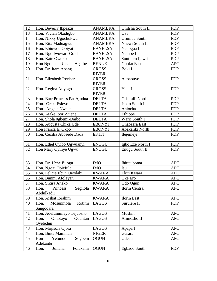| 12       | Hon. Beverly Ikpeazu                             | <b>ANAMBRA</b> | Onitsha South II                  | <b>PDP</b>               |
|----------|--------------------------------------------------|----------------|-----------------------------------|--------------------------|
| 13       | Hon. Vivian Okadigbo                             | <b>ANAMBRA</b> | Oyi                               | <b>PDP</b>               |
| 14       | Hon. Nikky Ugochukwu                             | <b>ANAMBRA</b> | Orumba South                      | <b>PDP</b>               |
| 15       | Hon. Rita Maduagwu                               | <b>ANAMBRA</b> | Nnewi South II                    | <b>PDP</b>               |
| 16       | Hon. Ebiuwou Obiyai                              | <b>BAYELSA</b> | Yenogoa II                        | <b>PDP</b>               |
| 17       | Hon. Ngo Iwowari-Gold                            | <b>BAYELSA</b> | Nembe II                          | <b>PDP</b>               |
| 18       | Hon. Kate Owoko                                  | <b>BAYELSA</b> | Southern Ijaw I                   | <b>PDP</b>               |
| 19       | Hon Ngohema Utsaha Agaibe                        | <b>BENUE</b>   | Gboko East                        | <b>APC</b>               |
| 20       | Hon. Dr. Itam Abang                              | <b>CROSS</b>   | Boki I                            | <b>PDP</b>               |
|          |                                                  | <b>RIVER</b>   |                                   |                          |
| 21       | Hon. Elizabeth Ironbar                           | <b>CROSS</b>   | Akpabuyo                          | <b>PDP</b>               |
|          |                                                  | <b>RIVER</b>   |                                   |                          |
| 22       | Hon. Regina Anyogo                               | <b>CROSS</b>   | Yala I                            | <b>PDP</b>               |
|          |                                                  | <b>RIVER</b>   |                                   |                          |
| 23       | Hon. Barr Princess Pat Ajudua                    | <b>DELTA</b>   | Oshimili North                    | <b>PDP</b>               |
| 24       | Hon. Orezi Esievo                                | <b>DELTA</b>   | Isoko South I                     | <b>PDP</b>               |
| 25       | Hon. Angela Nwaka                                | <b>DELTA</b>   | Aniocha                           | <b>PDP</b>               |
| 26       | Hon. Atake Ibori-Suene                           | <b>DELTA</b>   | Ethiope                           | <b>PDP</b>               |
| 27       | Hon. Shola Ogbemi-Daibo                          | <b>DELTA</b>   | Warri South I                     | <b>PDP</b>               |
| 28       | Hon. Augusta Chika Ude                           | <b>EBONYI</b>  | Ohaozara East                     | <b>PDP</b>               |
| 29       | Hon Franca E. Okpo                               | <b>EBONYI</b>  | Abakaliki North                   | <b>PDP</b>               |
| 30       | Hon. Cecilia Abosede Dada                        | <b>EKITI</b>   | Ilejemeje                         | <b>PDP</b>               |
|          |                                                  |                |                                   |                          |
| 31       | Hon. Ethel Oyibo Ugwuanyi                        | <b>ENUGU</b>   | Igbo Eze North I                  | <b>PDP</b>               |
| 32       | Hon Mary Oyinye Ugwu                             | <b>ENUGU</b>   | Enugu South II                    | <b>PDP</b>               |
|          |                                                  |                |                                   |                          |
|          |                                                  |                |                                   |                          |
| 33<br>34 | Hon. Dr. Uche Ejiogu                             | <b>IMO</b>     | Ihitteuboma                       | <b>APC</b><br><b>APC</b> |
| 35       | Hon. Ngozi Obiefule<br>Hon. Felicia Ebun Owolabi | <b>IMO</b>     | Isu                               |                          |
|          |                                                  | <b>KWARA</b>   | Ekiti Kwara                       | <b>APC</b>               |
| 36       | Hon. Bunmi Afolayan                              | <b>KWARA</b>   | Oke Ero                           | <b>APC</b>               |
| 37       | Hon. Sikira Anako                                | <b>KWARA</b>   | Odo Ogun                          | <b>APC</b>               |
| 38       | Segilola<br>Princess<br>Hon.<br>Abdulkadir       | <b>KWARA</b>   | Ilorin Central                    | <b>APC</b>               |
| 39       | Hon. Aishat Ibrahim                              | <b>KWARA</b>   |                                   | <b>APC</b>               |
| 40       | Rotimi<br>Hon.<br>Mosunmola                      | <b>LAGOS</b>   | <b>Ilorin East</b><br>Surulere II | <b>PDP</b>               |
|          | Sangodara                                        |                |                                   |                          |
|          |                                                  |                | Mushin                            |                          |
| 41<br>42 | Hon. Adefunmilayo Tejuosho<br>Hon.               | <b>LAGOS</b>   | Alimosho II                       | <b>APC</b>               |
|          | Omotayo<br>Oduntan<br>Oyeledun                   | <b>LAGOS</b>   |                                   | <b>APC</b>               |
| 43       | Hon. Mojisola Ojora                              | <b>LAGOS</b>   |                                   | <b>APC</b>               |
| 44       | Hon. Binta Mamman                                | <b>NIGER</b>   | Apapa I<br>Gurara                 | <b>APC</b>               |
| 45       | Sogbein<br>Yetunde<br>Hon                        | <b>OGUN</b>    | Odeda                             | <b>APC</b>               |
|          | Adekanbi                                         |                |                                   |                          |
| 46       | Juliana<br>Folakemi<br>Hon.                      | <b>OGUN</b>    | Egbado South                      | <b>PDP</b>               |
|          |                                                  |                |                                   |                          |